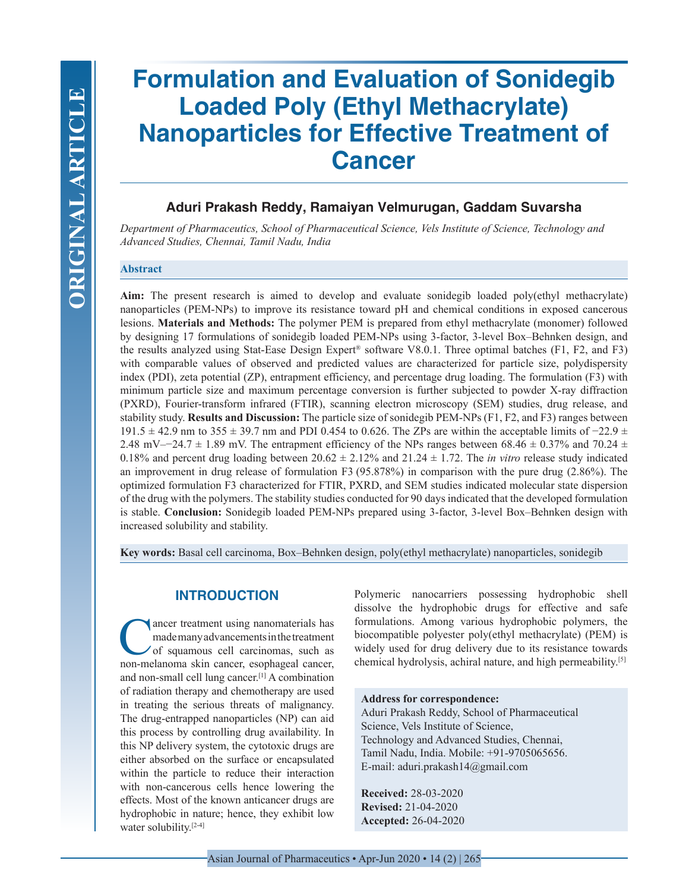# **Formulation and Evaluation of Sonidegib Loaded Poly (Ethyl Methacrylate) Nanoparticles for Effective Treatment of Cancer**

# **Aduri Prakash Reddy, Ramaiyan Velmurugan, Gaddam Suvarsha**

*Department of Pharmaceutics, School of Pharmaceutical Science, Vels Institute of Science, Technology and Advanced Studies, Chennai, Tamil Nadu, India*

## **Abstract**

**Aim:** The present research is aimed to develop and evaluate sonidegib loaded poly(ethyl methacrylate) nanoparticles (PEM-NPs) to improve its resistance toward pH and chemical conditions in exposed cancerous lesions. **Materials and Methods:** The polymer PEM is prepared from ethyl methacrylate (monomer) followed by designing 17 formulations of sonidegib loaded PEM-NPs using 3-factor, 3-level Box–Behnken design, and the results analyzed using Stat-Ease Design Expert® software V8.0.1. Three optimal batches (F1, F2, and F3) with comparable values of observed and predicted values are characterized for particle size, polydispersity index (PDI), zeta potential (ZP), entrapment efficiency, and percentage drug loading. The formulation (F3) with minimum particle size and maximum percentage conversion is further subjected to powder X-ray diffraction (PXRD), Fourier-transform infrared (FTIR), scanning electron microscopy (SEM) studies, drug release, and stability study. **Results and Discussion:** The particle size of sonidegib PEM-NPs (F1, F2, and F3) ranges between 191.5 ± 42.9 nm to 355 ± 39.7 nm and PDI 0.454 to 0.626. The ZPs are within the acceptable limits of −22.9 ± 2.48 mV–−24.7  $\pm$  1.89 mV. The entrapment efficiency of the NPs ranges between 68.46  $\pm$  0.37% and 70.24  $\pm$ 0.18% and percent drug loading between  $20.62 \pm 2.12$ % and  $21.24 \pm 1.72$ . The *in vitro* release study indicated an improvement in drug release of formulation F3 (95.878%) in comparison with the pure drug (2.86%). The optimized formulation F3 characterized for FTIR, PXRD, and SEM studies indicated molecular state dispersion of the drug with the polymers. The stability studies conducted for 90 days indicated that the developed formulation is stable. **Conclusion:** Sonidegib loaded PEM-NPs prepared using 3-factor, 3-level Box–Behnken design with increased solubility and stability.

**Key words:** Basal cell carcinoma, Box–Behnken design, poly(ethyl methacrylate) nanoparticles, sonidegib

## **INTRODUCTION**

The ancer treatment using nanomaterials has<br>made many advancements in the treatment<br>of squamous cell carcinomas, such as<br>non-melanoma skin cancer esonhageal cancer made many advancements in the treatment of squamous cell carcinomas, such as non-melanoma skin cancer, esophageal cancer, and non-small cell lung cancer.[1] A combination of radiation therapy and chemotherapy are used in treating the serious threats of malignancy. The drug-entrapped nanoparticles (NP) can aid this process by controlling drug availability. In this NP delivery system, the cytotoxic drugs are either absorbed on the surface or encapsulated within the particle to reduce their interaction with non-cancerous cells hence lowering the effects. Most of the known anticancer drugs are hydrophobic in nature; hence, they exhibit low water solubility.<sup>[2-4]</sup>

Polymeric nanocarriers possessing hydrophobic shell dissolve the hydrophobic drugs for effective and safe formulations. Among various hydrophobic polymers, the biocompatible polyester poly(ethyl methacrylate) (PEM) is widely used for drug delivery due to its resistance towards chemical hydrolysis, achiral nature, and high permeability.[5]

## **Address for correspondence:**

Aduri Prakash Reddy, School of Pharmaceutical Science, Vels Institute of Science, Technology and Advanced Studies, Chennai, Tamil Nadu, India. Mobile: +91-9705065656. E-mail: aduri.prakash14@gmail.com

**Received:** 28-03-2020 **Revised:** 21-04-2020 **Accepted:** 26-04-2020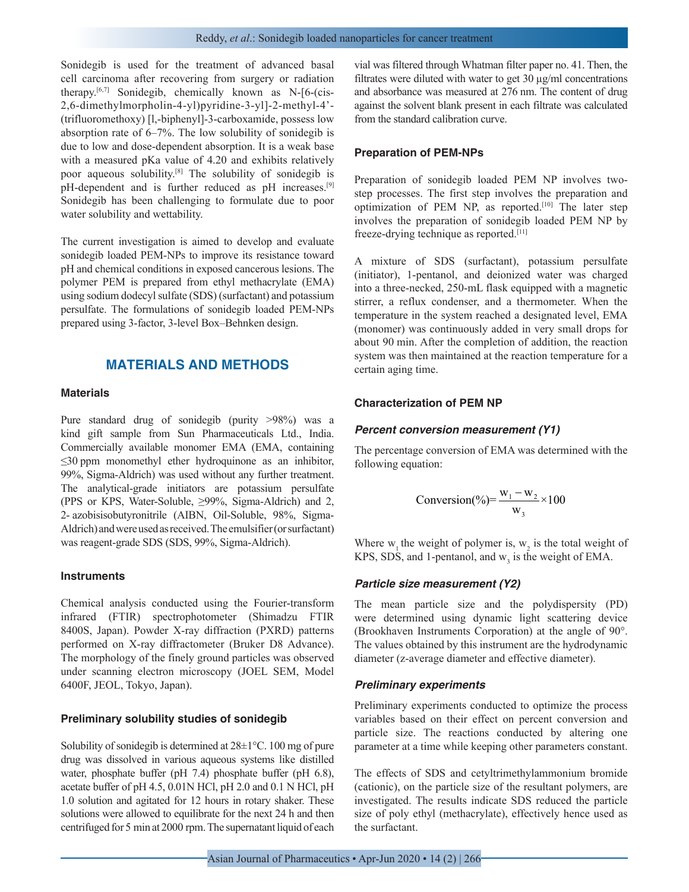Sonidegib is used for the treatment of advanced basal cell carcinoma after recovering from surgery or radiation therapy.[6,7] Sonidegib, chemically known as N-[6-(cis-2,6-dimethylmorpholin-4-yl)pyridine-3-yl]-2-methyl-4'- (trifluoromethoxy) [l,-biphenyl]-3-carboxamide, possess low absorption rate of 6–7%. The low solubility of sonidegib is due to low and dose-dependent absorption. It is a weak base with a measured pKa value of 4.20 and exhibits relatively poor aqueous solubility.[8] The solubility of sonidegib is pH-dependent and is further reduced as pH increases.[9] Sonidegib has been challenging to formulate due to poor water solubility and wettability.

The current investigation is aimed to develop and evaluate sonidegib loaded PEM-NPs to improve its resistance toward pH and chemical conditions in exposed cancerous lesions. The polymer PEM is prepared from ethyl methacrylate (EMA) using sodium dodecyl sulfate (SDS) (surfactant) and potassium persulfate. The formulations of sonidegib loaded PEM-NPs prepared using 3-factor, 3-level Box–Behnken design.

## **MATERIALS AND METHODS**

## **Materials**

Pure standard drug of sonidegib (purity >98%) was a kind gift sample from Sun Pharmaceuticals Ltd., India. Commercially available monomer EMA (EMA, containing ≤30 ppm monomethyl ether hydroquinone as an inhibitor, 99%, Sigma-Aldrich) was used without any further treatment. The analytical-grade initiators are potassium persulfate (PPS or KPS, Water-Soluble, ≥99%, Sigma-Aldrich) and 2, 2- azobisisobutyronitrile (AIBN, Oil-Soluble, 98%, Sigma-Aldrich) and were used as received. The emulsifier (or surfactant) was reagent-grade SDS (SDS, 99%, Sigma-Aldrich).

#### **Instruments**

Chemical analysis conducted using the Fourier-transform infrared (FTIR) spectrophotometer (Shimadzu FTIR 8400S, Japan). Powder X-ray diffraction (PXRD) patterns performed on X-ray diffractometer (Bruker D8 Advance). The morphology of the finely ground particles was observed under scanning electron microscopy (JOEL SEM, Model 6400F, JEOL, Tokyo, Japan).

#### **Preliminary solubility studies of sonidegib**

Solubility of sonidegib is determined at 28±1°C. 100 mg of pure drug was dissolved in various aqueous systems like distilled water, phosphate buffer (pH 7.4) phosphate buffer (pH 6.8), acetate buffer of pH 4.5, 0.01N HCl, pH 2.0 and 0.1 N HCl, pH 1.0 solution and agitated for 12 hours in rotary shaker. These solutions were allowed to equilibrate for the next 24 h and then centrifuged for 5 min at 2000 rpm. The supernatant liquid of each vial was filtered through Whatman filter paper no. 41. Then, the filtrates were diluted with water to get 30 µg/ml concentrations and absorbance was measured at 276 nm. The content of drug against the solvent blank present in each filtrate was calculated from the standard calibration curve.

#### **Preparation of PEM-NPs**

Preparation of sonidegib loaded PEM NP involves twostep processes. The first step involves the preparation and optimization of PEM NP, as reported.[10] The later step involves the preparation of sonidegib loaded PEM NP by freeze-drying technique as reported.[11]

A mixture of SDS (surfactant), potassium persulfate (initiator), 1-pentanol, and deionized water was charged into a three-necked, 250-mL flask equipped with a magnetic stirrer, a reflux condenser, and a thermometer. When the temperature in the system reached a designated level, EMA (monomer) was continuously added in very small drops for about 90 min. After the completion of addition, the reaction system was then maintained at the reaction temperature for a certain aging time.

## **Characterization of PEM NP**

#### *Percent conversion measurement (Y1)*

The percentage conversion of EMA was determined with the following equation:

$$
Conversion(\%)=\frac{w_1 - w_2}{w_3} \times 100
$$

Where  $w_1$  the weight of polymer is,  $w_2$  is the total weight of KPS, SDS, and 1-pentanol, and  $w_3$  is the weight of EMA.

#### *Particle size measurement (Y2)*

The mean particle size and the polydispersity (PD) were determined using dynamic light scattering device (Brookhaven Instruments Corporation) at the angle of 90°. The values obtained by this instrument are the hydrodynamic diameter (z-average diameter and effective diameter).

#### *Preliminary experiments*

Preliminary experiments conducted to optimize the process variables based on their effect on percent conversion and particle size. The reactions conducted by altering one parameter at a time while keeping other parameters constant.

The effects of SDS and cetyltrimethylammonium bromide (cationic), on the particle size of the resultant polymers, are investigated. The results indicate SDS reduced the particle size of poly ethyl (methacrylate), effectively hence used as the surfactant.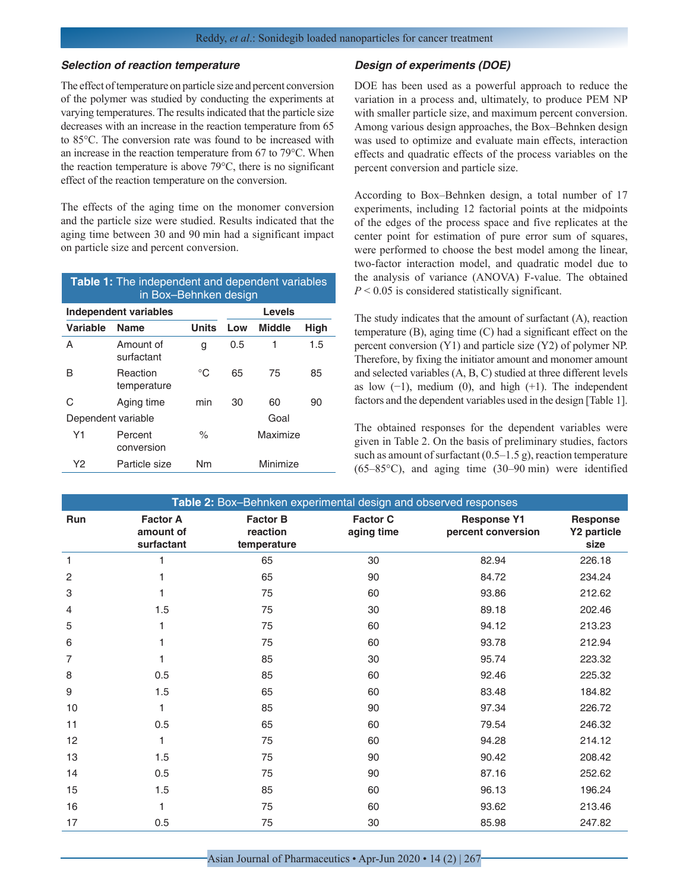#### *Selection of reaction temperature*

The effect of temperature on particle size and percent conversion of the polymer was studied by conducting the experiments at varying temperatures. The results indicated that the particle size decreases with an increase in the reaction temperature from 65 to 85°C. The conversion rate was found to be increased with an increase in the reaction temperature from 67 to 79°C. When the reaction temperature is above 79°C, there is no significant effect of the reaction temperature on the conversion.

The effects of the aging time on the monomer conversion and the particle size were studied. Results indicated that the aging time between 30 and 90 min had a significant impact on particle size and percent conversion.

| Table 1: The independent and dependent variables<br>in Box-Behnken design |                         |              |      |               |      |  |  |  |
|---------------------------------------------------------------------------|-------------------------|--------------|------|---------------|------|--|--|--|
| Independent variables                                                     | <b>Levels</b>           |              |      |               |      |  |  |  |
| Variable                                                                  | <b>Name</b>             | <b>Units</b> | Low  | <b>Middle</b> | High |  |  |  |
| А                                                                         | Amount of<br>surfactant | g            | 0.5  | 1             | 1.5  |  |  |  |
| R                                                                         | Reaction<br>temperature | °C           | 65   | 75            | 85   |  |  |  |
| C                                                                         | Aging time              | min          | 30   | 60            | 90   |  |  |  |
| Dependent variable                                                        |                         |              | Goal |               |      |  |  |  |
| Y1                                                                        | Percent<br>conversion   | $\%$         |      | Maximize      |      |  |  |  |
| Υ2                                                                        | Particle size           | Nm           |      | Minimize      |      |  |  |  |

#### *Design of experiments (DOE)*

DOE has been used as a powerful approach to reduce the variation in a process and, ultimately, to produce PEM NP with smaller particle size, and maximum percent conversion. Among various design approaches, the Box–Behnken design was used to optimize and evaluate main effects, interaction effects and quadratic effects of the process variables on the percent conversion and particle size.

According to Box–Behnken design, a total number of 17 experiments, including 12 factorial points at the midpoints of the edges of the process space and five replicates at the center point for estimation of pure error sum of squares, were performed to choose the best model among the linear, two-factor interaction model, and quadratic model due to the analysis of variance (ANOVA) F-value. The obtained *P* < 0.05 is considered statistically significant.

The study indicates that the amount of surfactant (A), reaction temperature (B), aging time (C) had a significant effect on the percent conversion (Y1) and particle size (Y2) of polymer NP. Therefore, by fixing the initiator amount and monomer amount and selected variables (A, B, C) studied at three different levels as low  $(-1)$ , medium  $(0)$ , and high  $(+1)$ . The independent factors and the dependent variables used in the design [Table 1].

The obtained responses for the dependent variables were given in Table 2. On the basis of preliminary studies, factors such as amount of surfactant  $(0.5-1.5 \text{ g})$ , reaction temperature (65–85°C), and aging time (30–90 min) were identified

| Table 2: Box-Behnken experimental design and observed responses |                                            |                                            |                               |                                          |                                        |  |  |  |
|-----------------------------------------------------------------|--------------------------------------------|--------------------------------------------|-------------------------------|------------------------------------------|----------------------------------------|--|--|--|
| Run                                                             | <b>Factor A</b><br>amount of<br>surfactant | <b>Factor B</b><br>reaction<br>temperature | <b>Factor C</b><br>aging time | <b>Response Y1</b><br>percent conversion | <b>Response</b><br>Y2 particle<br>size |  |  |  |
| $\mathbf{1}$                                                    | 1                                          | 65                                         | 30                            | 82.94                                    | 226.18                                 |  |  |  |
| 2                                                               |                                            | 65                                         | 90                            | 84.72                                    | 234.24                                 |  |  |  |
| 3                                                               |                                            | 75                                         | 60                            | 93.86                                    | 212.62                                 |  |  |  |
| 4                                                               | 1.5                                        | 75                                         | 30                            | 89.18                                    | 202.46                                 |  |  |  |
| 5                                                               | 1                                          | 75                                         | 60                            | 94.12                                    | 213.23                                 |  |  |  |
| 6                                                               |                                            | 75                                         | 60                            | 93.78                                    | 212.94                                 |  |  |  |
| 7                                                               |                                            | 85                                         | 30                            | 95.74                                    | 223.32                                 |  |  |  |
| 8                                                               | 0.5                                        | 85                                         | 60                            | 92.46                                    | 225.32                                 |  |  |  |
| 9                                                               | 1.5                                        | 65                                         | 60                            | 83.48                                    | 184.82                                 |  |  |  |
| 10                                                              | 1                                          | 85                                         | 90                            | 97.34                                    | 226.72                                 |  |  |  |
| 11                                                              | 0.5                                        | 65                                         | 60                            | 79.54                                    | 246.32                                 |  |  |  |
| 12                                                              | 1                                          | 75                                         | 60                            | 94.28                                    | 214.12                                 |  |  |  |
| 13                                                              | 1.5                                        | 75                                         | 90                            | 90.42                                    | 208.42                                 |  |  |  |
| 14                                                              | 0.5                                        | 75                                         | 90                            | 87.16                                    | 252.62                                 |  |  |  |
| 15                                                              | 1.5                                        | 85                                         | 60                            | 96.13                                    | 196.24                                 |  |  |  |
| 16                                                              |                                            | 75                                         | 60                            | 93.62                                    | 213.46                                 |  |  |  |
| 17                                                              | 0.5                                        | 75                                         | 30                            | 85.98                                    | 247.82                                 |  |  |  |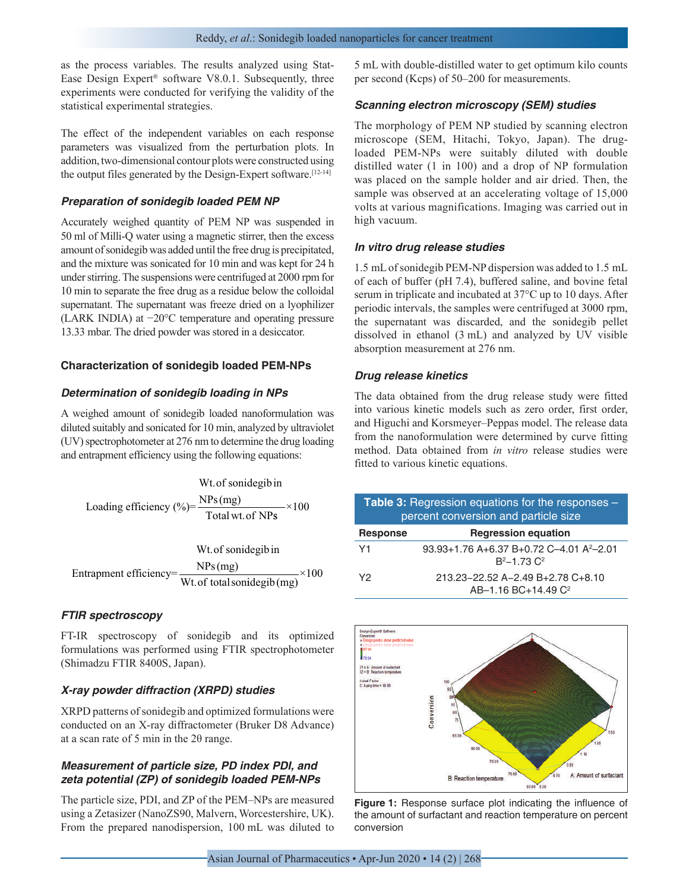as the process variables. The results analyzed using Stat-Ease Design Expert® software V8.0.1. Subsequently, three experiments were conducted for verifying the validity of the statistical experimental strategies.

The effect of the independent variables on each response parameters was visualized from the perturbation plots. In addition, two-dimensional contour plots were constructed using the output files generated by the Design-Expert software.[12-14]

#### *Preparation of sonidegib loaded PEM NP*

Accurately weighed quantity of PEM NP was suspended in 50 ml of Milli-Q water using a magnetic stirrer, then the excess amount of sonidegib was added until the free drug is precipitated, and the mixture was sonicated for 10 min and was kept for 24 h under stirring. The suspensions were centrifuged at 2000 rpm for 10 min to separate the free drug as a residue below the colloidal supernatant. The supernatant was freeze dried on a lyophilizer (LARK INDIA) at −20°C temperature and operating pressure 13.33 mbar. The dried powder was stored in a desiccator.

## **Characterization of sonidegib loaded PEM-NPs**

## *Determination of sonidegib loading in NPs*

A weighed amount of sonidegib loaded nanoformulation was diluted suitably and sonicated for 10 min, analyzed by ultraviolet (UV) spectrophotometer at 276 nm to determine the drug loading and entrapment efficiency using the following equations:

Wt. of sonidegib in  
loading efficiency (
$$
\% = \frac{\text{NPs(mg)}}{\text{Total wt. of NPs}} \times 100
$$

Wt. of sonidegib in  
Entrapment efficiency=
$$
\frac{\text{NPs (mg)}}{\text{Wt. of total sonidegib (mg)}} \times 100
$$

#### *FTIR spectroscopy*

FT-IR spectroscopy of sonidegib and its optimized formulations was performed using FTIR spectrophotometer (Shimadzu FTIR 8400S, Japan).

## *X-ray powder diffraction (XRPD) studies*

XRPD patterns of sonidegib and optimized formulations were conducted on an X-ray diffractometer (Bruker D8 Advance) at a scan rate of 5 min in the 2θ range.

## *Measurement of particle size, PD index PDI, and zeta potential (ZP) of sonidegib loaded PEM-NPs*

The particle size, PDI, and ZP of the PEM–NPs are measured using a Zetasizer (NanoZS90, Malvern, Worcestershire, UK). From the prepared nanodispersion, 100 mL was diluted to

5 mL with double-distilled water to get optimum kilo counts per second (Kcps) of 50–200 for measurements.

## *Scanning electron microscopy (SEM) studies*

The morphology of PEM NP studied by scanning electron microscope (SEM, Hitachi, Tokyo, Japan). The drugloaded PEM-NPs were suitably diluted with double distilled water (1 in 100) and a drop of NP formulation was placed on the sample holder and air dried. Then, the sample was observed at an accelerating voltage of 15,000 volts at various magnifications. Imaging was carried out in high vacuum.

## *In vitro drug release studies*

1.5 mL of sonidegib PEM-NP dispersion was added to 1.5 mL of each of buffer (pH 7.4), buffered saline, and bovine fetal serum in triplicate and incubated at 37°C up to 10 days. After periodic intervals, the samples were centrifuged at 3000 rpm, the supernatant was discarded, and the sonidegib pellet dissolved in ethanol (3 mL) and analyzed by UV visible absorption measurement at 276 nm.

## *Drug release kinetics*

The data obtained from the drug release study were fitted into various kinetic models such as zero order, first order, and Higuchi and Korsmeyer–Peppas model. The release data from the nanoformulation were determined by curve fitting method. Data obtained from *in vitro* release studies were fitted to various kinetic equations.

| <b>Table 3:</b> Regression equations for the responses $-$<br>percent conversion and particle size |                                                                            |  |  |  |
|----------------------------------------------------------------------------------------------------|----------------------------------------------------------------------------|--|--|--|
| <b>Response</b>                                                                                    | <b>Regression equation</b>                                                 |  |  |  |
| Y <sub>1</sub>                                                                                     | 93.93+1.76 A+6.37 B+0.72 C-4.01 A <sup>2</sup> -2.01<br>$R^2 - 1$ 73 $C^2$ |  |  |  |
| Y2                                                                                                 | 213.23-22.52 A-2.49 B+2.78 C+8.10<br>AB-1.16 BC+14.49 C <sup>2</sup>       |  |  |  |



**Figure 1:** Response surface plot indicating the influence of the amount of surfactant and reaction temperature on percent conversion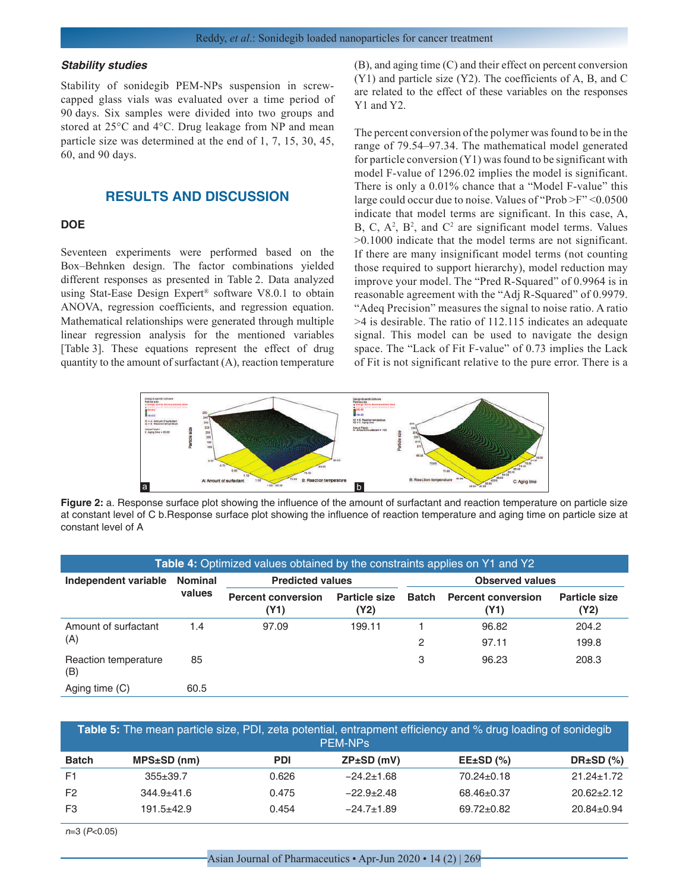#### *Stability studies*

Stability of sonidegib PEM-NPs suspension in screwcapped glass vials was evaluated over a time period of 90 days. Six samples were divided into two groups and stored at 25°C and 4°C. Drug leakage from NP and mean particle size was determined at the end of 1, 7, 15, 30, 45, 60, and 90 days.

## **RESULTS AND DISCUSSION**

#### **DOE**

Seventeen experiments were performed based on the Box–Behnken design. The factor combinations yielded different responses as presented in Table 2. Data analyzed using Stat-Ease Design Expert® software V8.0.1 to obtain ANOVA, regression coefficients, and regression equation. Mathematical relationships were generated through multiple linear regression analysis for the mentioned variables [Table 3]. These equations represent the effect of drug quantity to the amount of surfactant (A), reaction temperature

(B), and aging time (C) and their effect on percent conversion (Y1) and particle size (Y2). The coefficients of A, B, and C are related to the effect of these variables on the responses Y1 and Y2.

The percent conversion of the polymer was found to be in the range of 79.54–97.34. The mathematical model generated for particle conversion (Y1) was found to be significant with model F-value of 1296.02 implies the model is significant. There is only a 0.01% chance that a "Model F-value" this large could occur due to noise. Values of "Prob >F" <0.0500 indicate that model terms are significant. In this case, A,  $B, C, A<sup>2</sup>, B<sup>2</sup>, and C<sup>2</sup> are significant model terms. Values$ >0.1000 indicate that the model terms are not significant. If there are many insignificant model terms (not counting those required to support hierarchy), model reduction may improve your model. The "Pred R-Squared" of 0.9964 is in reasonable agreement with the "Adj R-Squared" of 0.9979. "Adeq Precision" measures the signal to noise ratio. A ratio >4 is desirable. The ratio of 112.115 indicates an adequate signal. This model can be used to navigate the design space. The "Lack of Fit F-value" of 0.73 implies the Lack of Fit is not significant relative to the pure error. There is a



**Figure 2:** a. Response surface plot showing the influence of the amount of surfactant and reaction temperature on particle size at constant level of C b.Response surface plot showing the influence of reaction temperature and aging time on particle size at constant level of A

| Table 4: Optimized values obtained by the constraints applies on Y1 and Y2 |                          |                                   |                              |                        |                                   |                              |  |
|----------------------------------------------------------------------------|--------------------------|-----------------------------------|------------------------------|------------------------|-----------------------------------|------------------------------|--|
| Independent variable                                                       | <b>Nominal</b><br>values | <b>Predicted values</b>           |                              | <b>Observed values</b> |                                   |                              |  |
|                                                                            |                          | <b>Percent conversion</b><br>(Y1) | <b>Particle size</b><br>(Y2) | Batch                  | <b>Percent conversion</b><br>(Y1) | <b>Particle size</b><br>(Y2) |  |
| Amount of surfactant                                                       | 1.4                      | 97.09                             | 199.11                       |                        | 96.82                             | 204.2                        |  |
| (A)                                                                        |                          |                                   |                              | 2                      | 97.11                             | 199.8                        |  |
| Reaction temperature<br>(B)                                                | 85                       |                                   |                              | 3                      | 96.23                             | 208.3                        |  |
| Aging time (C)                                                             | 60.5                     |                                   |                              |                        |                                   |                              |  |

| Table 5: The mean particle size, PDI, zeta potential, entrapment efficiency and % drug loading of sonidegib<br><b>PEM-NPS</b> |                   |            |                  |                  |                   |  |  |
|-------------------------------------------------------------------------------------------------------------------------------|-------------------|------------|------------------|------------------|-------------------|--|--|
| <b>Batch</b>                                                                                                                  | $MPS{\pm}SD$ (nm) | <b>PDI</b> | $ZP\pm SD$ (mV)  | $EE\pm SD$ (%)   | DR $\pm$ SD $(%)$ |  |  |
| F <sub>1</sub>                                                                                                                | $355 + 39.7$      | 0.626      | $-24.2 \pm 1.68$ | $70.24 \pm 0.18$ | $21.24 \pm 1.72$  |  |  |
| F <sub>2</sub>                                                                                                                | $344.9 + 41.6$    | 0.475      | $-22.9+2.48$     | $68.46 \pm 0.37$ | $20.62 \pm 2.12$  |  |  |
| F3                                                                                                                            | $191.5 + 42.9$    | 0.454      | $-24.7 \pm 1.89$ | $69.72 \pm 0.82$ | $20.84 \pm 0.94$  |  |  |

n=3 (P<0.05)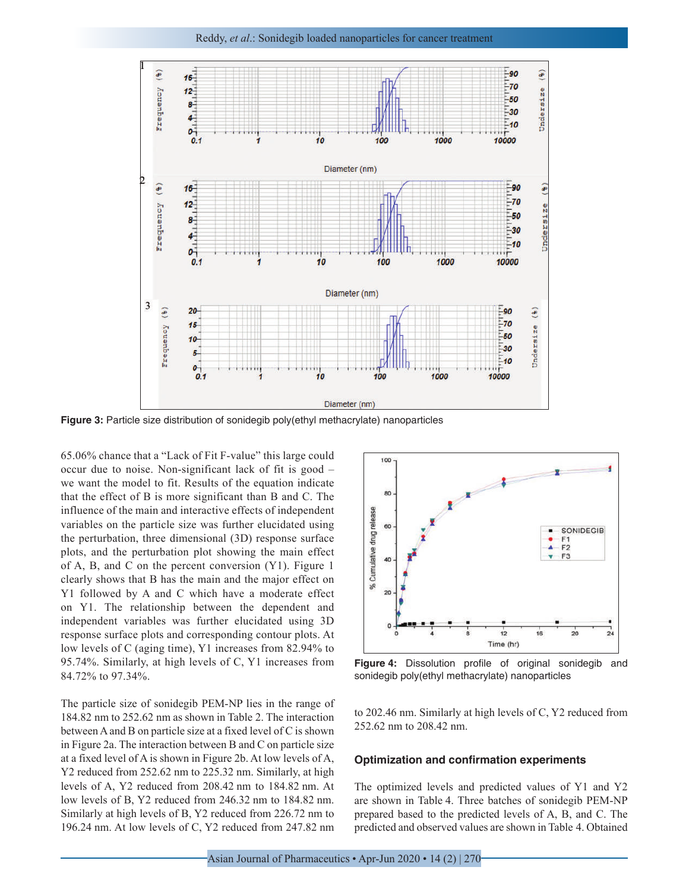

**Figure 3:** Particle size distribution of sonidegib poly(ethyl methacrylate) nanoparticles

65.06% chance that a "Lack of Fit F-value" this large could occur due to noise. Non-significant lack of fit is good – we want the model to fit. Results of the equation indicate that the effect of B is more significant than B and C. The influence of the main and interactive effects of independent variables on the particle size was further elucidated using the perturbation, three dimensional (3D) response surface plots, and the perturbation plot showing the main effect of A, B, and C on the percent conversion (Y1). Figure 1 clearly shows that B has the main and the major effect on Y1 followed by A and C which have a moderate effect on Y1. The relationship between the dependent and independent variables was further elucidated using 3D response surface plots and corresponding contour plots. At low levels of C (aging time), Y1 increases from 82.94% to 95.74%. Similarly, at high levels of C, Y1 increases from 84.72% to 97.34%.

The particle size of sonidegib PEM-NP lies in the range of 184.82 nm to 252.62 nm as shown in Table 2. The interaction between A and B on particle size at a fixed level of C is shown in Figure 2a. The interaction between B and C on particle size at a fixed level of A is shown in Figure 2b. At low levels of A, Y2 reduced from 252.62 nm to 225.32 nm. Similarly, at high levels of A, Y2 reduced from 208.42 nm to 184.82 nm. At low levels of B, Y2 reduced from 246.32 nm to 184.82 nm. Similarly at high levels of B, Y2 reduced from 226.72 nm to 196.24 nm. At low levels of C, Y2 reduced from 247.82 nm



**Figure 4:** Dissolution profile of original sonidegib and sonidegib poly(ethyl methacrylate) nanoparticles

to 202.46 nm. Similarly at high levels of C, Y2 reduced from 252.62 nm to 208.42 nm.

#### **Optimization and confirmation experiments**

The optimized levels and predicted values of Y1 and Y2 are shown in Table 4. Three batches of sonidegib PEM-NP prepared based to the predicted levels of A, B, and C. The predicted and observed values are shown in Table 4. Obtained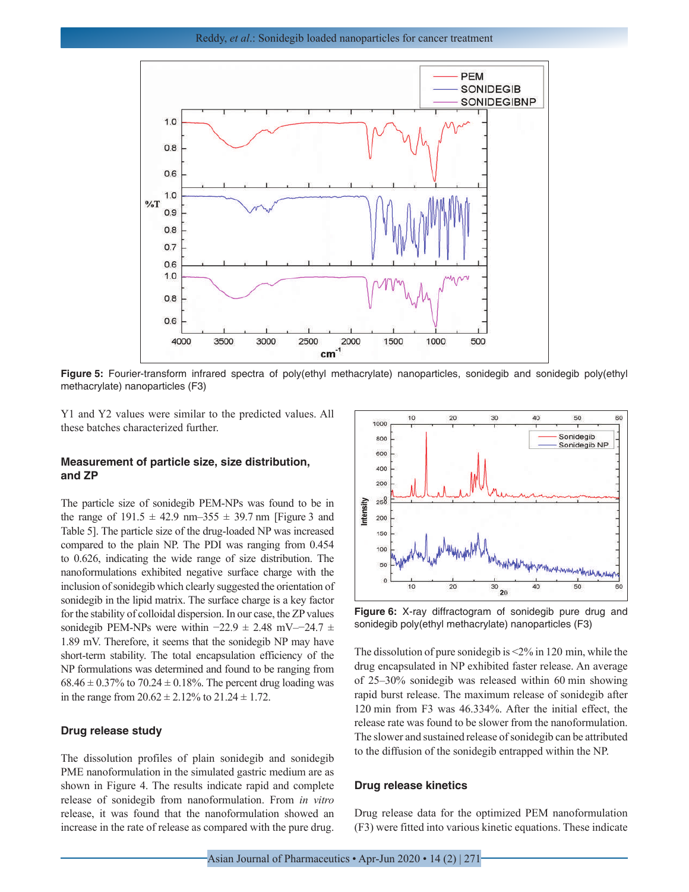

**Figure 5:** Fourier-transform infrared spectra of poly(ethyl methacrylate) nanoparticles, sonidegib and sonidegib poly(ethyl methacrylate) nanoparticles (F3)

Y1 and Y2 values were similar to the predicted values. All these batches characterized further.

### **Measurement of particle size, size distribution, and ZP**

The particle size of sonidegib PEM-NPs was found to be in the range of  $191.5 \pm 42.9$  nm-355  $\pm 39.7$  nm [Figure 3 and Table 5]. The particle size of the drug-loaded NP was increased compared to the plain NP. The PDI was ranging from 0.454 to 0.626, indicating the wide range of size distribution. The nanoformulations exhibited negative surface charge with the inclusion of sonidegib which clearly suggested the orientation of sonidegib in the lipid matrix. The surface charge is a key factor for the stability of colloidal dispersion. In our case, the ZP values sonidegib PEM-NPs were within  $-22.9 \pm 2.48$  mV- $-24.7 \pm$ 1.89 mV. Therefore, it seems that the sonidegib NP may have short-term stability. The total encapsulation efficiency of the NP formulations was determined and found to be ranging from  $68.46 \pm 0.37\%$  to  $70.24 \pm 0.18\%$ . The percent drug loading was in the range from  $20.62 \pm 2.12\%$  to  $21.24 \pm 1.72$ .

#### **Drug release study**

The dissolution profiles of plain sonidegib and sonidegib PME nanoformulation in the simulated gastric medium are as shown in Figure 4. The results indicate rapid and complete release of sonidegib from nanoformulation. From *in vitro*  release, it was found that the nanoformulation showed an increase in the rate of release as compared with the pure drug.



**Figure 6:** X-ray diffractogram of sonidegib pure drug and sonidegib poly(ethyl methacrylate) nanoparticles (F3)

The dissolution of pure sonidegib is <2% in 120 min, while the drug encapsulated in NP exhibited faster release. An average of 25–30% sonidegib was released within 60 min showing rapid burst release. The maximum release of sonidegib after 120 min from F3 was 46.334%. After the initial effect, the release rate was found to be slower from the nanoformulation. The slower and sustained release of sonidegib can be attributed to the diffusion of the sonidegib entrapped within the NP.

#### **Drug release kinetics**

Drug release data for the optimized PEM nanoformulation (F3) were fitted into various kinetic equations. These indicate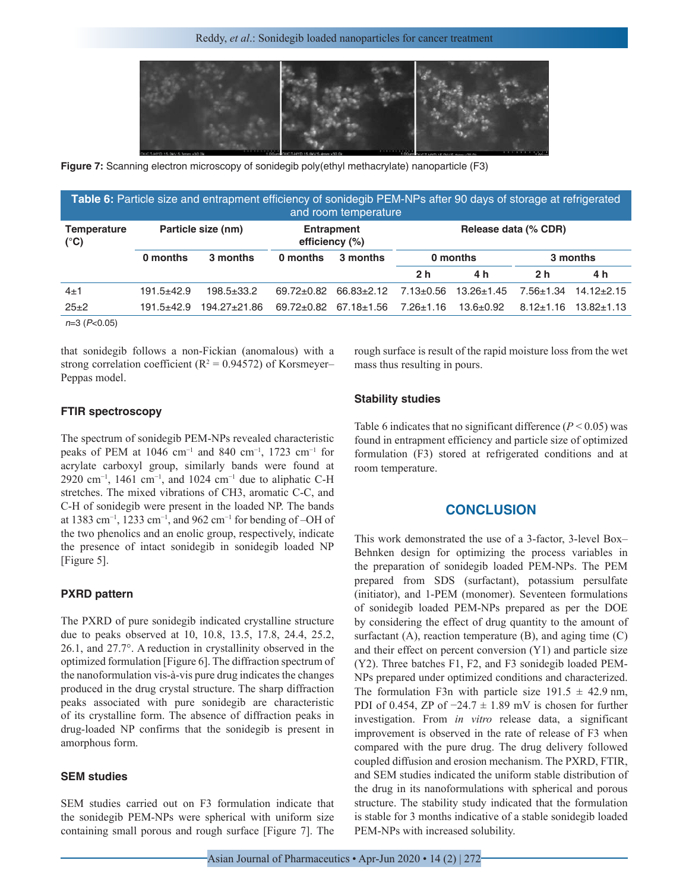

**Figure 7:** Scanning electron microscopy of sonidegib poly(ethyl methacrylate) nanoparticle (F3)

| Table 6: Particle size and entrapment efficiency of sonidegib PEM-NPs after 90 days of storage at refrigerated<br>and room temperature |                |                    |                  |                                           |                 |                  |                 |                  |
|----------------------------------------------------------------------------------------------------------------------------------------|----------------|--------------------|------------------|-------------------------------------------|-----------------|------------------|-----------------|------------------|
| <b>Temperature</b><br>$(^{\circ}C)$                                                                                                    |                | Particle size (nm) | efficiency (%)   | Release data (% CDR)<br><b>Entrapment</b> |                 |                  |                 |                  |
|                                                                                                                                        | 0 months       | 3 months           | 0 months         | 3 months                                  | 0 months        |                  | 3 months        |                  |
|                                                                                                                                        |                |                    |                  |                                           | 2 <sub>h</sub>  | 4 h              | 2 <sub>h</sub>  | 4 h              |
| $4\pm1$                                                                                                                                | $191.5 + 42.9$ | 198.5±33.2         | $69.72 \pm 0.82$ | $66.83 \pm 2.12$                          | $7.13 \pm 0.56$ | $13.26 \pm 1.45$ | $7.56 \pm 1.34$ | $14.12 \pm 2.15$ |
| $25 + 2$                                                                                                                               | $191.5 + 42.9$ | 194.27±21.86       | $69.72 \pm 0.82$ | $67.18 \pm 1.56$                          | $7.26 \pm 1.16$ | $13.6 \pm 0.92$  | $8.12 \pm 1.16$ | $13.82 \pm 1.13$ |
| $n=3$ ( $P<0.05$ )                                                                                                                     |                |                    |                  |                                           |                 |                  |                 |                  |

that sonidegib follows a non-Fickian (anomalous) with a strong correlation coefficient ( $R^2 = 0.94572$ ) of Korsmeyer– Peppas model.

rough surface is result of the rapid moisture loss from the wet mass thus resulting in pours.

## **FTIR spectroscopy**

The spectrum of sonidegib PEM-NPs revealed characteristic peaks of PEM at 1046 cm−1 and 840 cm−1, 1723 cm−1 for acrylate carboxyl group, similarly bands were found at 2920 cm<sup>-1</sup>, 1461 cm<sup>-1</sup>, and 1024 cm<sup>-1</sup> due to aliphatic C-H stretches. The mixed vibrations of CH3, aromatic C-C, and C-H of sonidegib were present in the loaded NP. The bands at 1383 cm−1, 1233 cm−1, and 962 cm−1 for bending of –OH of the two phenolics and an enolic group, respectively, indicate the presence of intact sonidegib in sonidegib loaded NP [Figure 5].

#### **PXRD pattern**

The PXRD of pure sonidegib indicated crystalline structure due to peaks observed at 10, 10.8, 13.5, 17.8, 24.4, 25.2, 26.1, and 27.7°. A reduction in crystallinity observed in the optimized formulation [Figure 6]. The diffraction spectrum of the nanoformulation vis-à-vis pure drug indicates the changes produced in the drug crystal structure. The sharp diffraction peaks associated with pure sonidegib are characteristic of its crystalline form. The absence of diffraction peaks in drug-loaded NP confirms that the sonidegib is present in amorphous form.

## **SEM studies**

SEM studies carried out on F3 formulation indicate that the sonidegib PEM-NPs were spherical with uniform size containing small porous and rough surface [Figure 7]. The

#### **Stability studies**

Table 6 indicates that no significant difference  $(P < 0.05)$  was found in entrapment efficiency and particle size of optimized formulation (F3) stored at refrigerated conditions and at room temperature.

## **CONCLUSION**

This work demonstrated the use of a 3-factor, 3-level Box– Behnken design for optimizing the process variables in the preparation of sonidegib loaded PEM-NPs. The PEM prepared from SDS (surfactant), potassium persulfate (initiator), and 1-PEM (monomer). Seventeen formulations of sonidegib loaded PEM-NPs prepared as per the DOE by considering the effect of drug quantity to the amount of surfactant  $(A)$ , reaction temperature  $(B)$ , and aging time  $(C)$ and their effect on percent conversion (Y1) and particle size (Y2). Three batches F1, F2, and F3 sonidegib loaded PEM-NPs prepared under optimized conditions and characterized. The formulation F3n with particle size  $191.5 \pm 42.9$  nm, PDI of 0.454, ZP of  $-24.7 \pm 1.89$  mV is chosen for further investigation. From *in vitro* release data, a significant improvement is observed in the rate of release of F3 when compared with the pure drug. The drug delivery followed coupled diffusion and erosion mechanism. The PXRD, FTIR, and SEM studies indicated the uniform stable distribution of the drug in its nanoformulations with spherical and porous structure. The stability study indicated that the formulation is stable for 3 months indicative of a stable sonidegib loaded PEM-NPs with increased solubility.